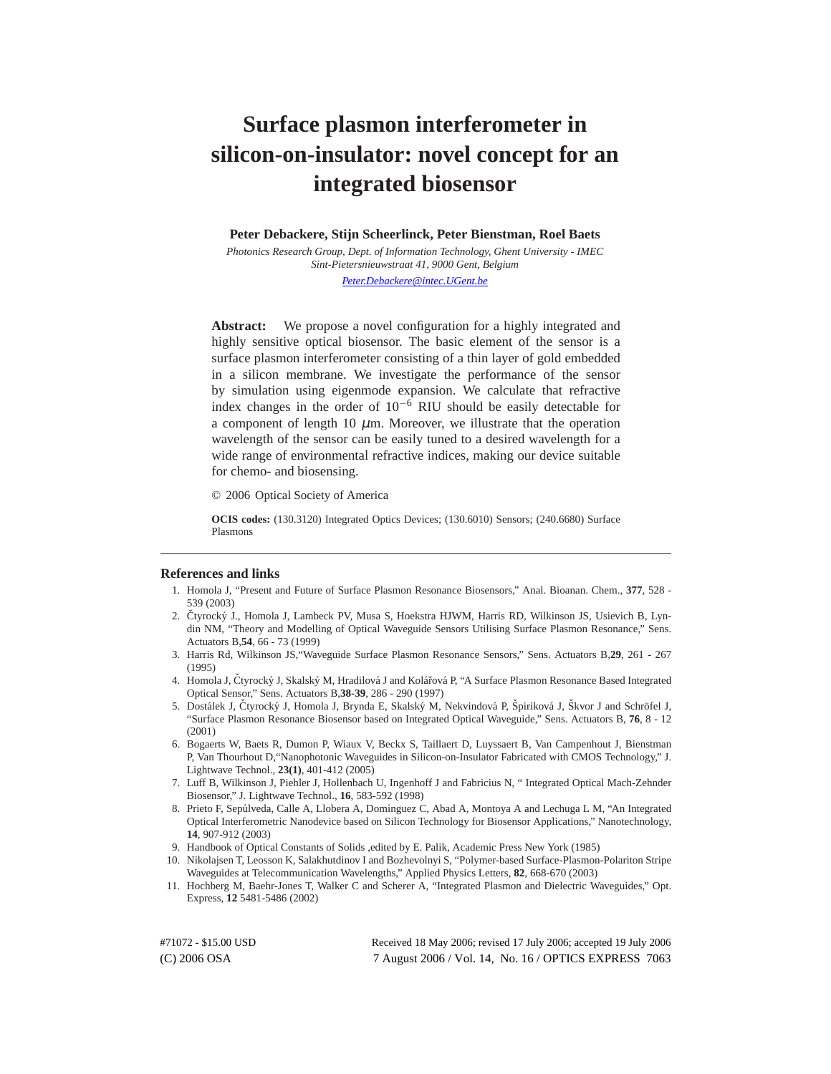# **Surface plasmon interferometer in silicon-on-insulator: novel concept for an integrated biosensor**

**Peter Debackere, Stijn Scheerlinck, Peter Bienstman, Roel Baets**

*Photonics Research Group, Dept. of Information Technology, Ghent University - IMEC Sint-Pietersnieuwstraat 41, 9000 Gent, Belgium*

*Peter.Debackere@intec.UGent.be*

**Abstract:** We propose a novel configuration for a highly integrated and highly sensitive optical biosensor. The basic element of the sensor is a surface plasmon interferometer consisting of a thin layer of gold embedded in a silicon membrane. We investigate the performance of the sensor by simulation using eigenmode expansion. We calculate that refractive index changes in the order of  $10^{-6}$  RIU should be easily detectable for a component of length 10  $\mu$ m. Moreover, we illustrate that the operation wavelength of the sensor can be easily tuned to a desired wavelength for a wide range of environmental refractive indices, making our device suitable for chemo- and biosensing.

© 2006 Optical Society of America

**OCIS codes:** (130.3120) Integrated Optics Devices; (130.6010) Sensors; (240.6680) Surface Plasmons

#### **References and links**

- 1. Homola J, "Present and Future of Surface Plasmon Resonance Biosensors," Anal. Bioanan. Chem., **377**, 528 539 (2003)
- 2. Čtyrocký J., Homola J, Lambeck PV, Musa S, Hoekstra HJWM, Harris RD, Wilkinson JS, Usievich B, Lyndin NM, "Theory and Modelling of Optical Waveguide Sensors Utilising Surface Plasmon Resonance," Sens. Actuators B,**54**, 66 - 73 (1999)
- 3. Harris Rd, Wilkinson JS,"Waveguide Surface Plasmon Resonance Sensors," Sens. Actuators B,**29**, 261 267 (1995)
- 4. Homola J, Čtyrocký J, Skalský M, Hradilová J and Kolářová P, "A Surface Plasmon Resonance Based Integrated Optical Sensor," Sens. Actuators B,**38-39**, 286 - 290 (1997)
- 5. Dostálek J, Čtyrocký J, Homola J, Brynda E, Skalský M, Nekvindová P, Špiriková J, Škvor J and Schröfel J, "Surface Plasmon Resonance Biosensor based on Integrated Optical Waveguide," Sens. Actuators B, **76**, 8 - 12 (2001)
- 6. Bogaerts W, Baets R, Dumon P, Wiaux V, Beckx S, Taillaert D, Luyssaert B, Van Campenhout J, Bienstman P, Van Thourhout D,"Nanophotonic Waveguides in Silicon-on-Insulator Fabricated with CMOS Technology," J. Lightwave Technol., **23(1)**, 401-412 (2005)
- 7. Luff B, Wilkinson J, Piehler J, Hollenbach U, Ingenhoff J and Fabricius N, " Integrated Optical Mach-Zehnder Biosensor," J. Lightwave Technol., **16**, 583-592 (1998)
- 8. Prieto F, Sepúlveda, Calle A, Llobera A, Domínguez C, Abad A, Montoya A and Lechuga L M, "An Integrated Optical Interferometric Nanodevice based on Silicon Technology for Biosensor Applications," Nanotechnology, **14**, 907-912 (2003)
- 9. Handbook of Optical Constants of Solids ,edited by E. Palik, Academic Press New York (1985)
- 10. Nikolajsen T, Leosson K, Salakhutdinov I and Bozhevolnyi S, "Polymer-based Surface-Plasmon-Polariton Stripe Waveguides at Telecommunication Wavelengths," Applied Physics Letters, **82**, 668-670 (2003)
- 11. Hochberg M, Baehr-Jones T, Walker C and Scherer A, "Integrated Plasmon and Dielectric Waveguides," Opt. Express, **12** 5481-5486 (2002)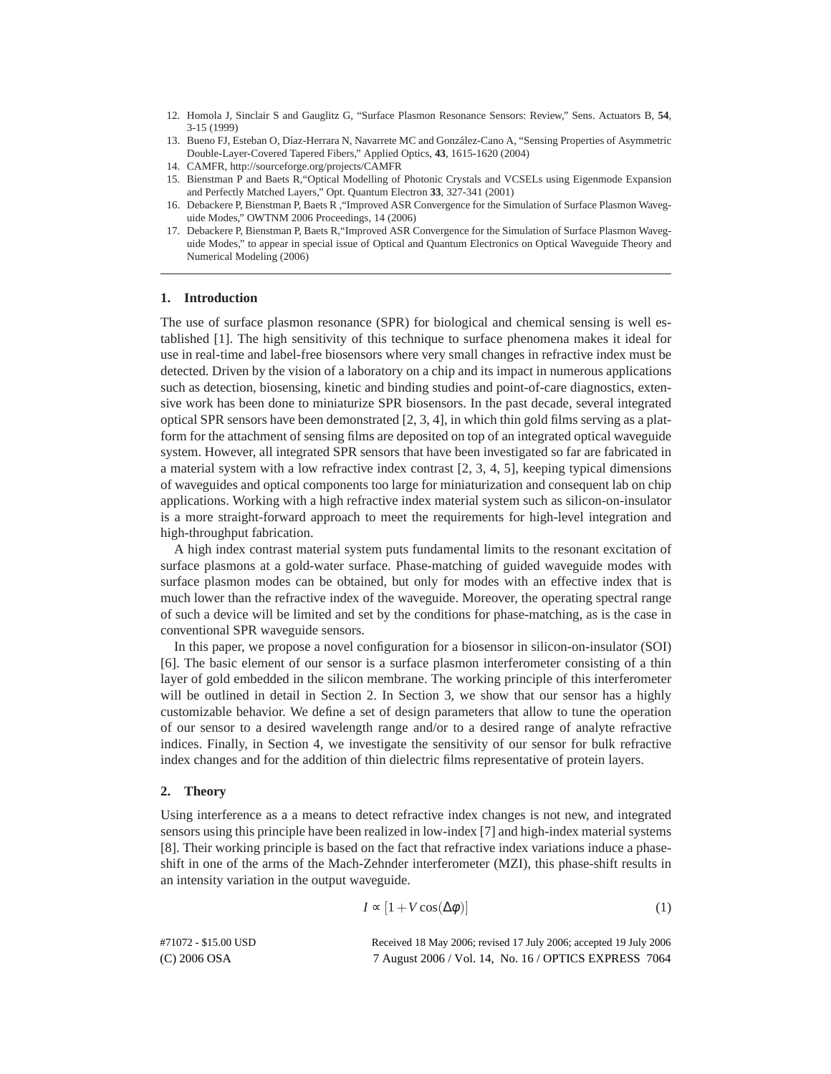- 12. Homola J, Sinclair S and Gauglitz G, "Surface Plasmon Resonance Sensors: Review," Sens. Actuators B, **54**, 3-15 (1999)
- 13. Bueno FJ, Esteban O, Díaz-Herrara N, Navarrete MC and González-Cano A, "Sensing Properties of Asymmetric Double-Layer-Covered Tapered Fibers," Applied Optics, **43**, 1615-1620 (2004)
- 14. CAMFR, http://sourceforge.org/projects/CAMFR
- 15. Bienstman P and Baets R,"Optical Modelling of Photonic Crystals and VCSELs using Eigenmode Expansion and Perfectly Matched Layers," Opt. Quantum Electron **33**, 327-341 (2001)
- 16. Debackere P, Bienstman P, Baets R ,"Improved ASR Convergence for the Simulation of Surface Plasmon Waveguide Modes," OWTNM 2006 Proceedings, 14 (2006)
- 17. Debackere P, Bienstman P, Baets R,"Improved ASR Convergence for the Simulation of Surface Plasmon Waveguide Modes," to appear in special issue of Optical and Quantum Electronics on Optical Waveguide Theory and Numerical Modeling (2006)

### **1. Introduction**

The use of surface plasmon resonance (SPR) for biological and chemical sensing is well established [1]. The high sensitivity of this technique to surface phenomena makes it ideal for use in real-time and label-free biosensors where very small changes in refractive index must be detected. Driven by the vision of a laboratory on a chip and its impact in numerous applications such as detection, biosensing, kinetic and binding studies and point-of-care diagnostics, extensive work has been done to miniaturize SPR biosensors. In the past decade, several integrated optical SPR sensors have been demonstrated  $[2, 3, 4]$ , in which thin gold films serving as a platform for the attachment of sensing films are deposited on top of an integrated optical waveguide system. However, all integrated SPR sensors that have been investigated so far are fabricated in a material system with a low refractive index contrast [2, 3, 4, 5], keeping typical dimensions of waveguides and optical components too large for miniaturization and consequent lab on chip applications. Working with a high refractive index material system such as silicon-on-insulator is a more straight-forward approach to meet the requirements for high-level integration and high-throughput fabrication.

A high index contrast material system puts fundamental limits to the resonant excitation of surface plasmons at a gold-water surface. Phase-matching of guided waveguide modes with surface plasmon modes can be obtained, but only for modes with an effective index that is much lower than the refractive index of the waveguide. Moreover, the operating spectral range of such a device will be limited and set by the conditions for phase-matching, as is the case in conventional SPR waveguide sensors.

In this paper, we propose a novel configuration for a biosensor in silicon-on-insulator (SOI) [6]. The basic element of our sensor is a surface plasmon interferometer consisting of a thin layer of gold embedded in the silicon membrane. The working principle of this interferometer will be outlined in detail in Section 2. In Section 3, we show that our sensor has a highly customizable behavior. We define a set of design parameters that allow to tune the operation of our sensor to a desired wavelength range and/or to a desired range of analyte refractive indices. Finally, in Section 4, we investigate the sensitivity of our sensor for bulk refractive index changes and for the addition of thin dielectric films representative of protein layers.

#### **2. Theory**

Using interference as a a means to detect refractive index changes is not new, and integrated sensors using this principle have been realized in low-index [7] and high-index material systems [8]. Their working principle is based on the fact that refractive index variations induce a phaseshift in one of the arms of the Mach-Zehnder interferometer (MZI), this phase-shift results in an intensity variation in the output waveguide.

$$
I \propto [1 + V \cos(\Delta \phi)] \tag{1}
$$

| #71072 - \$15.00 USD | Received 18 May 2006; revised 17 July 2006; accepted 19 July 2006 |
|----------------------|-------------------------------------------------------------------|
| $(C) 2006$ OSA       | 7 August 2006 / Vol. 14, No. 16 / OPTICS EXPRESS 7064             |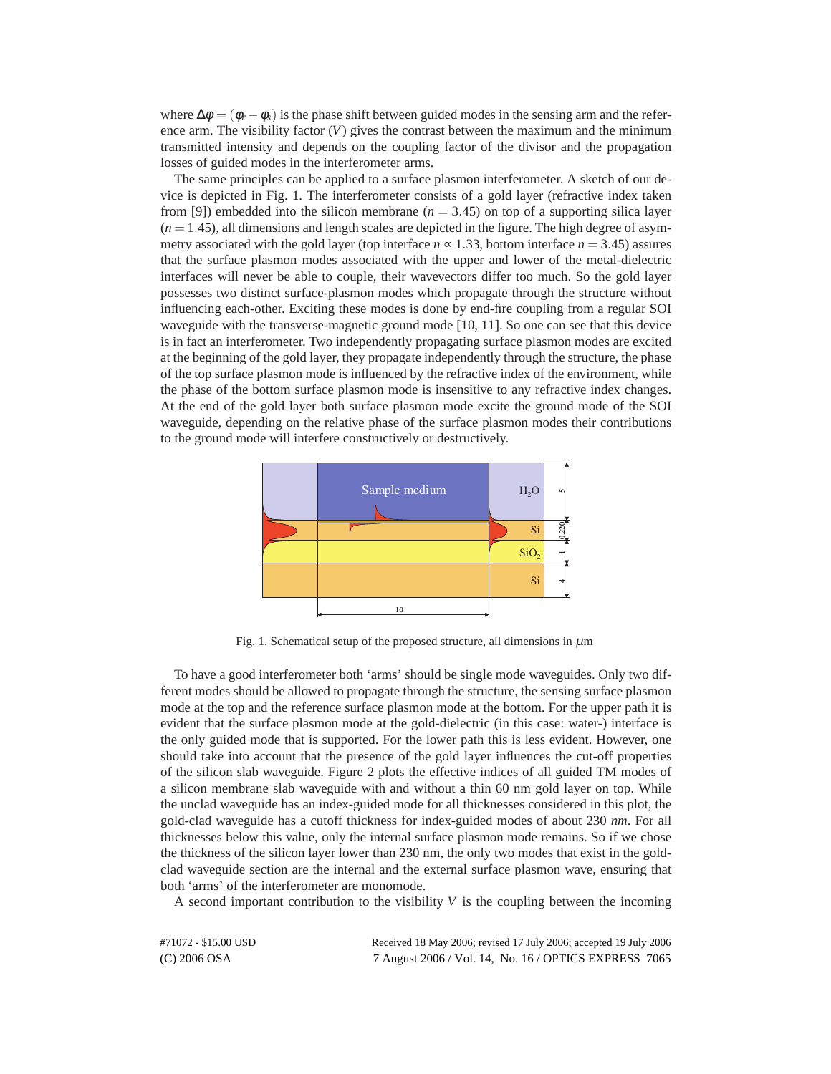where  $\Delta \phi = (\phi_r - \phi_s)$  is the phase shift between guided modes in the sensing arm and the reference arm. The visibility factor  $(V)$  gives the contrast between the maximum and the minimum transmitted intensity and depends on the coupling factor of the divisor and the propagation losses of guided modes in the interferometer arms.

The same principles can be applied to a surface plasmon interferometer. A sketch of our device is depicted in Fig. 1. The interferometer consists of a gold layer (refractive index taken from [9]) embedded into the silicon membrane  $(n = 3.45)$  on top of a supporting silica layer  $(n=1.45)$ , all dimensions and length scales are depicted in the figure. The high degree of asymmetry associated with the gold layer (top interface  $n \approx 1.33$ , bottom interface  $n = 3.45$ ) assures that the surface plasmon modes associated with the upper and lower of the metal-dielectric interfaces will never be able to couple, their wavevectors differ too much. So the gold layer possesses two distinct surface-plasmon modes which propagate through the structure without influencing each-other. Exciting these modes is done by end-fire coupling from a regular SOI waveguide with the transverse-magnetic ground mode [10, 11]. So one can see that this device is in fact an interferometer. Two independently propagating surface plasmon modes are excited at the beginning of the gold layer, they propagate independently through the structure, the phase of the top surface plasmon mode is influenced by the refractive index of the environment, while the phase of the bottom surface plasmon mode is insensitive to any refractive index changes. At the end of the gold layer both surface plasmon mode excite the ground mode of the SOI waveguide, depending on the relative phase of the surface plasmon modes their contributions to the ground mode will interfere constructively or destructively.



Fig. 1. Schematical setup of the proposed structure, all dimensions in  $\mu$ m

To have a good interferometer both 'arms' should be single mode waveguides. Only two different modes should be allowed to propagate through the structure, the sensing surface plasmon mode at the top and the reference surface plasmon mode at the bottom. For the upper path it is evident that the surface plasmon mode at the gold-dielectric (in this case: water-) interface is the only guided mode that is supported. For the lower path this is less evident. However, one should take into account that the presence of the gold layer influences the cut-off properties of the silicon slab waveguide. Figure 2 plots the effective indices of all guided TM modes of a silicon membrane slab waveguide with and without a thin 60 nm gold layer on top. While the unclad waveguide has an index-guided mode for all thicknesses considered in this plot, the gold-clad waveguide has a cutoff thickness for index-guided modes of about 230 *nm*. For all thicknesses below this value, only the internal surface plasmon mode remains. So if we chose the thickness of the silicon layer lower than 230 nm, the only two modes that exist in the goldclad waveguide section are the internal and the external surface plasmon wave, ensuring that both 'arms' of the interferometer are monomode.

A second important contribution to the visibility *V* is the coupling between the incoming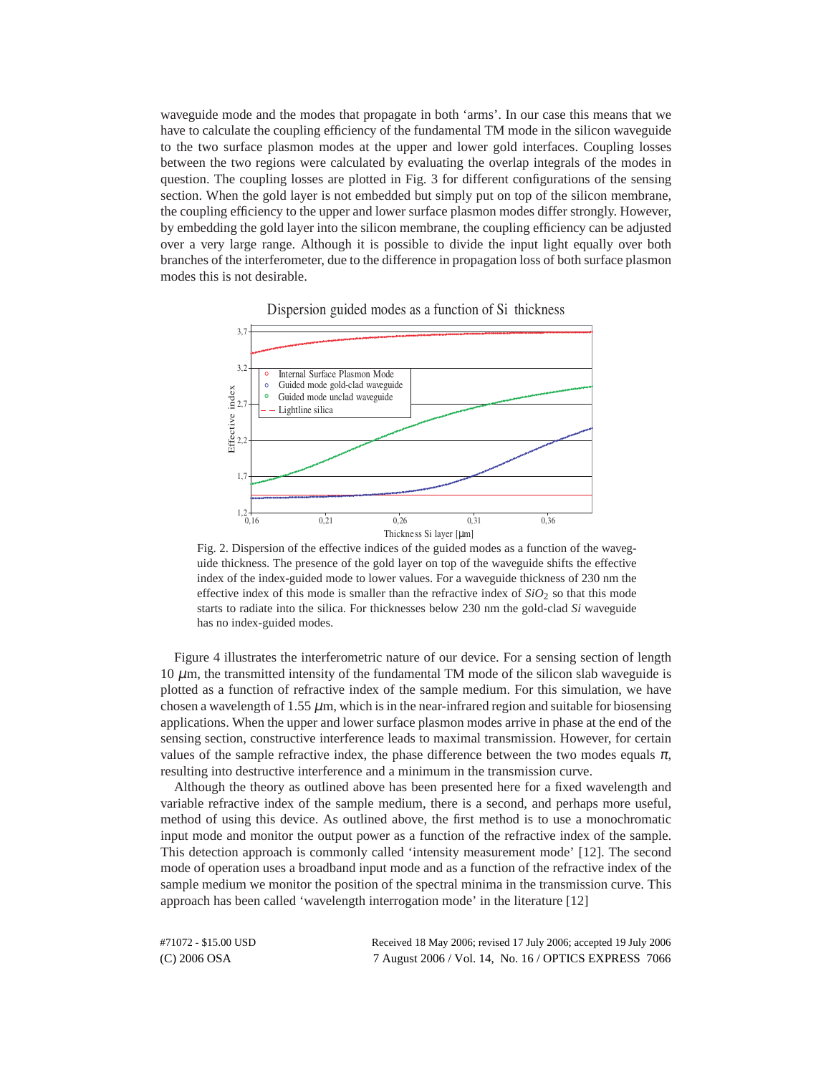waveguide mode and the modes that propagate in both 'arms'. In our case this means that we have to calculate the coupling efficiency of the fundamental TM mode in the silicon waveguide to the two surface plasmon modes at the upper and lower gold interfaces. Coupling losses between the two regions were calculated by evaluating the overlap integrals of the modes in question. The coupling losses are plotted in Fig. 3 for different configurations of the sensing section. When the gold layer is not embedded but simply put on top of the silicon membrane, the coupling efficiency to the upper and lower surface plasmon modes differ strongly. However, by embedding the gold layer into the silicon membrane, the coupling efficiency can be adjusted over a very large range. Although it is possible to divide the input light equally over both branches of the interferometer, due to the difference in propagation loss of both surface plasmon modes this is not desirable.





Fig. 2. Dispersion of the effective indices of the guided modes as a function of the waveguide thickness. The presence of the gold layer on top of the waveguide shifts the effective index of the index-guided mode to lower values. For a waveguide thickness of 230 nm the effective index of this mode is smaller than the refractive index of  $SiO<sub>2</sub>$  so that this mode starts to radiate into the silica. For thicknesses below 230 nm the gold-clad *Si* waveguide has no index-guided modes.

Figure 4 illustrates the interferometric nature of our device. For a sensing section of length  $10 \mu$ m, the transmitted intensity of the fundamental TM mode of the silicon slab waveguide is plotted as a function of refractive index of the sample medium. For this simulation, we have chosen a wavelength of 1.55  $\mu$ m, which is in the near-infrared region and suitable for biosensing applications. When the upper and lower surface plasmon modes arrive in phase at the end of the sensing section, constructive interference leads to maximal transmission. However, for certain values of the sample refractive index, the phase difference between the two modes equals  $\pi$ , resulting into destructive interference and a minimum in the transmission curve.

Although the theory as outlined above has been presented here for a fixed wavelength and variable refractive index of the sample medium, there is a second, and perhaps more useful, method of using this device. As outlined above, the first method is to use a monochromatic input mode and monitor the output power as a function of the refractive index of the sample. This detection approach is commonly called 'intensity measurement mode' [12]. The second mode of operation uses a broadband input mode and as a function of the refractive index of the sample medium we monitor the position of the spectral minima in the transmission curve. This approach has been called 'wavelength interrogation mode' in the literature [12]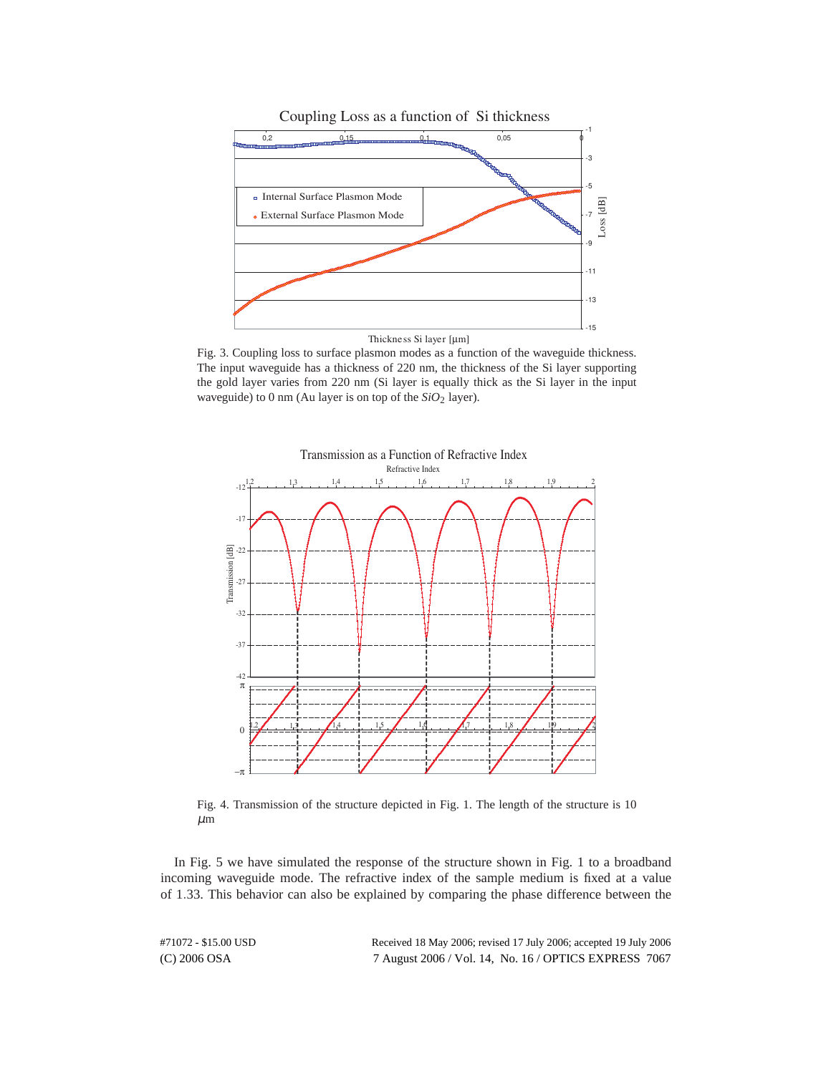

Fig. 3. Coupling loss to surface plasmon modes as a function of the waveguide thickness. The input waveguide has a thickness of 220 nm, the thickness of the Si layer supporting the gold layer varies from 220 nm (Si layer is equally thick as the Si layer in the input waveguide) to 0 nm (Au layer is on top of the  $SiO<sub>2</sub>$  layer).



Fig. 4. Transmission of the structure depicted in Fig. 1. The length of the structure is 10  $\mu$ m

In Fig. 5 we have simulated the response of the structure shown in Fig. 1 to a broadband incoming waveguide mode. The refractive index of the sample medium is fixed at a value of 1.33. This behavior can also be explained by comparing the phase difference between the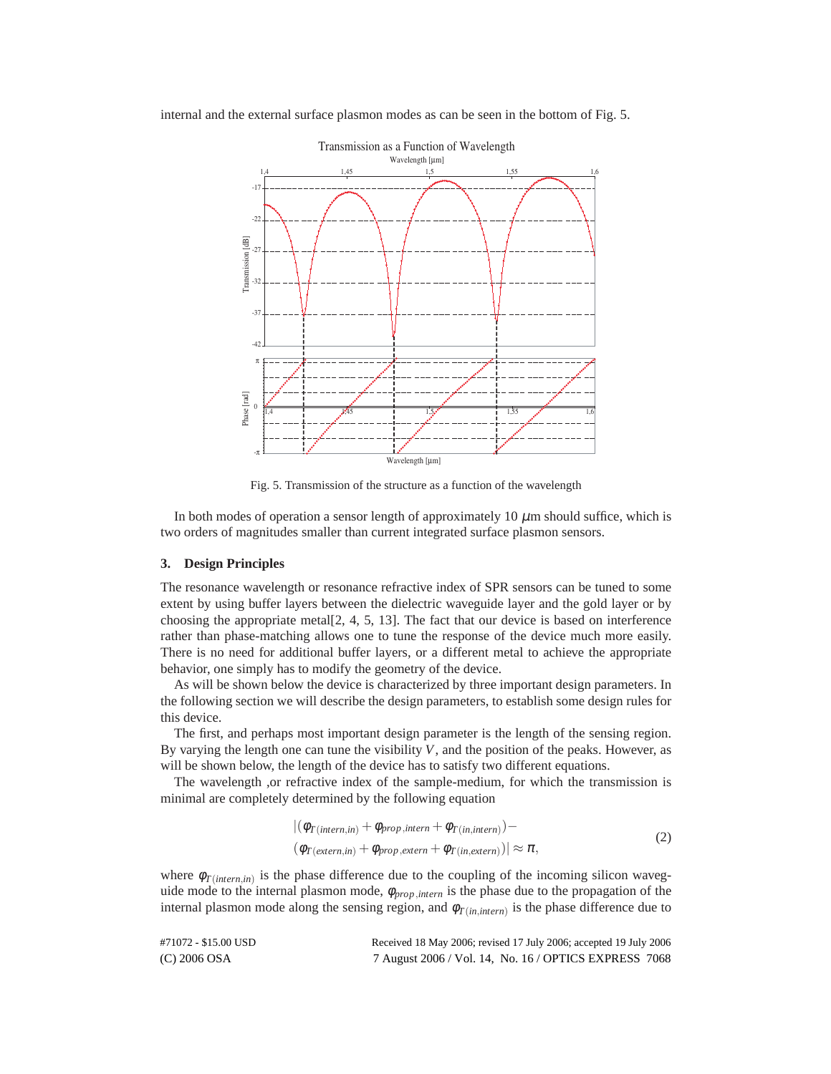

internal and the external surface plasmon modes as can be seen in the bottom of Fig. 5.

Fig. 5. Transmission of the structure as a function of the wavelength

In both modes of operation a sensor length of approximately  $10 \mu m$  should suffice, which is two orders of magnitudes smaller than current integrated surface plasmon sensors.

#### **3. Design Principles**

The resonance wavelength or resonance refractive index of SPR sensors can be tuned to some extent by using buffer layers between the dielectric waveguide layer and the gold layer or by choosing the appropriate metal $[2, 4, 5, 13]$ . The fact that our device is based on interference rather than phase-matching allows one to tune the response of the device much more easily. There is no need for additional buffer layers, or a different metal to achieve the appropriate behavior, one simply has to modify the geometry of the device.

As will be shown below the device is characterized by three important design parameters. In the following section we will describe the design parameters, to establish some design rules for this device.

The first, and perhaps most important design parameter is the length of the sensing region. By varying the length one can tune the visibility *V*, and the position of the peaks. However, as will be shown below, the length of the device has to satisfy two different equations.

The wavelength ,or refractive index of the sample-medium, for which the transmission is minimal are completely determined by the following equation

$$
|(\phi_{T(intern,in)} + \phi_{prop,intern} + \phi_{T(in,intern)}) -
$$
  

$$
(\phi_{T(extern,in)} + \phi_{prop,extern} + \phi_{T(in,extern)})| \approx \pi,
$$
 (2)

where  $\phi_{T(intern,in)}$  is the phase difference due to the coupling of the incoming silicon waveguide mode to the internal plasmon mode, φ*prop*,*intern* is the phase due to the propagation of the internal plasmon mode along the sensing region, and  $\phi_{T(in,intern)}$  is the phase difference due to

| #71072 - \$15.00 USD | Received 18 May 2006; revised 17 July 2006; accepted 19 July 2006 |
|----------------------|-------------------------------------------------------------------|
| $(C) 2006$ OSA       | 7 August 2006 / Vol. 14, No. 16 / OPTICS EXPRESS 7068             |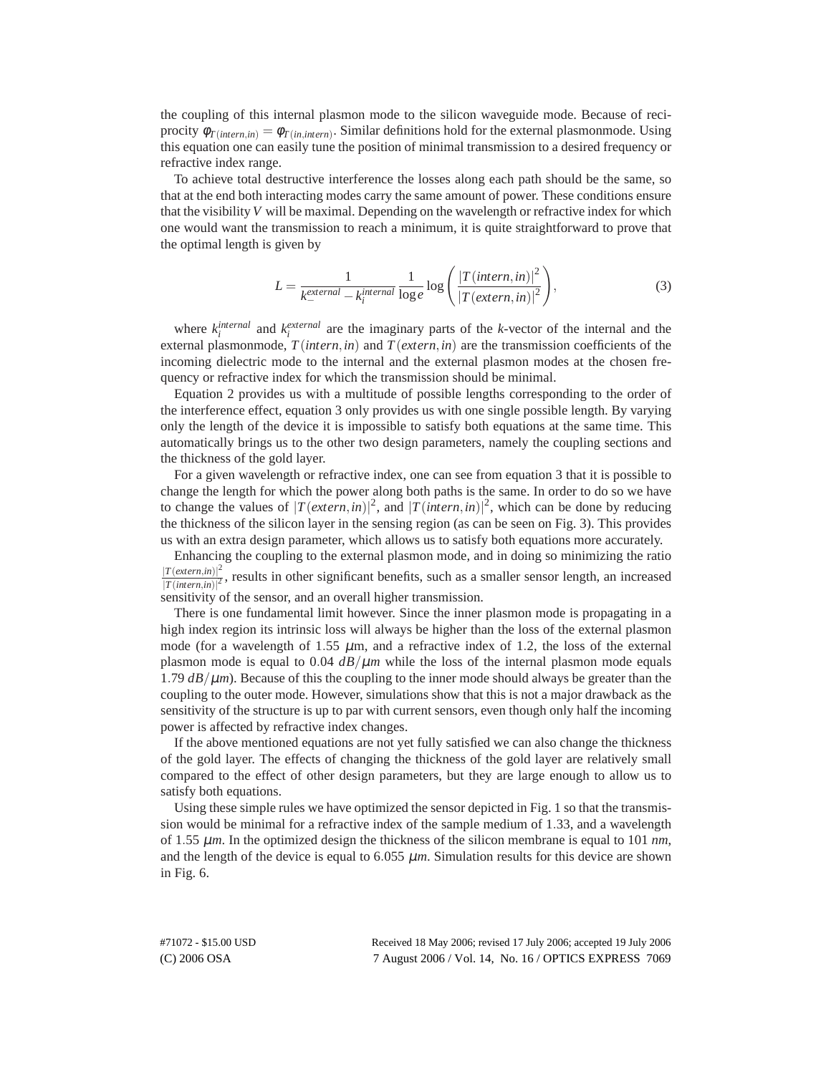the coupling of this internal plasmon mode to the silicon waveguide mode. Because of reciprocity  $\phi_{T(intern,m)} = \phi_{T(in,intern)}$ . Similar definitions hold for the external plasmonmode. Using this equation one can easily tune the position of minimal transmission to a desired frequency or refractive index range.

To achieve total destructive interference the losses along each path should be the same, so that at the end both interacting modes carry the same amount of power. These conditions ensure that the visibility*V* will be maximal. Depending on the wavelength or refractive index for which one would want the transmission to reach a minimum, it is quite straightforward to prove that the optimal length is given by

$$
L = \frac{1}{k_{-}^{\text{external}} - k_{i}^{\text{internal}} \log e} \log \left( \frac{|T(\text{internal}, in)|^2}{|T(\text{external}, in)|^2} \right),\tag{3}
$$

where  $k_i^{internal}$  and  $k_i^{external}$  are the imaginary parts of the *k*-vector of the internal and the external plasmonmode,  $T(intern,in)$  and  $T(extern,in)$  are the transmission coefficients of the incoming dielectric mode to the internal and the external plasmon modes at the chosen frequency or refractive index for which the transmission should be minimal.

Equation 2 provides us with a multitude of possible lengths corresponding to the order of the interference effect, equation 3 only provides us with one single possible length. By varying only the length of the device it is impossible to satisfy both equations at the same time. This automatically brings us to the other two design parameters, namely the coupling sections and the thickness of the gold layer.

For a given wavelength or refractive index, one can see from equation 3 that it is possible to change the length for which the power along both paths is the same. In order to do so we have to change the values of  $|T(extern,in)|^2$ , and  $|T(intern,in)|^2$ , which can be done by reducing the thickness of the silicon layer in the sensing region (as can be seen on Fig. 3). This provides us with an extra design parameter, which allows us to satisfy both equations more accurately.

Enhancing the coupling to the external plasmon mode, and in doing so minimizing the ratio  $|T(extern,in)|^2$  $\frac{|I(\ell xem,m)|}{|T(\ell xem,m)|^2}$ , results in other significant benefits, such as a smaller sensor length, an increased sensitivity of the sensor, and an overall higher transmission.

There is one fundamental limit however. Since the inner plasmon mode is propagating in a high index region its intrinsic loss will always be higher than the loss of the external plasmon mode (for a wavelength of 1.55  $\mu$ m, and a refractive index of 1.2, the loss of the external plasmon mode is equal to 0.04  $dB/\mu m$  while the loss of the internal plasmon mode equals 1.79  $dB/\mu m$ ). Because of this the coupling to the inner mode should always be greater than the coupling to the outer mode. However, simulations show that this is not a major drawback as the sensitivity of the structure is up to par with current sensors, even though only half the incoming power is affected by refractive index changes.

If the above mentioned equations are not yet fully satisfied we can also change the thickness of the gold layer. The effects of changing the thickness of the gold layer are relatively small compared to the effect of other design parameters, but they are large enough to allow us to satisfy both equations.

Using these simple rules we have optimized the sensor depicted in Fig. 1 so that the transmission would be minimal for a refractive index of the sample medium of 1.33, and a wavelength of 1.55 µ*m*. In the optimized design the thickness of the silicon membrane is equal to 101 *nm*, and the length of the device is equal to  $6.055 \mu m$ . Simulation results for this device are shown in Fig. 6.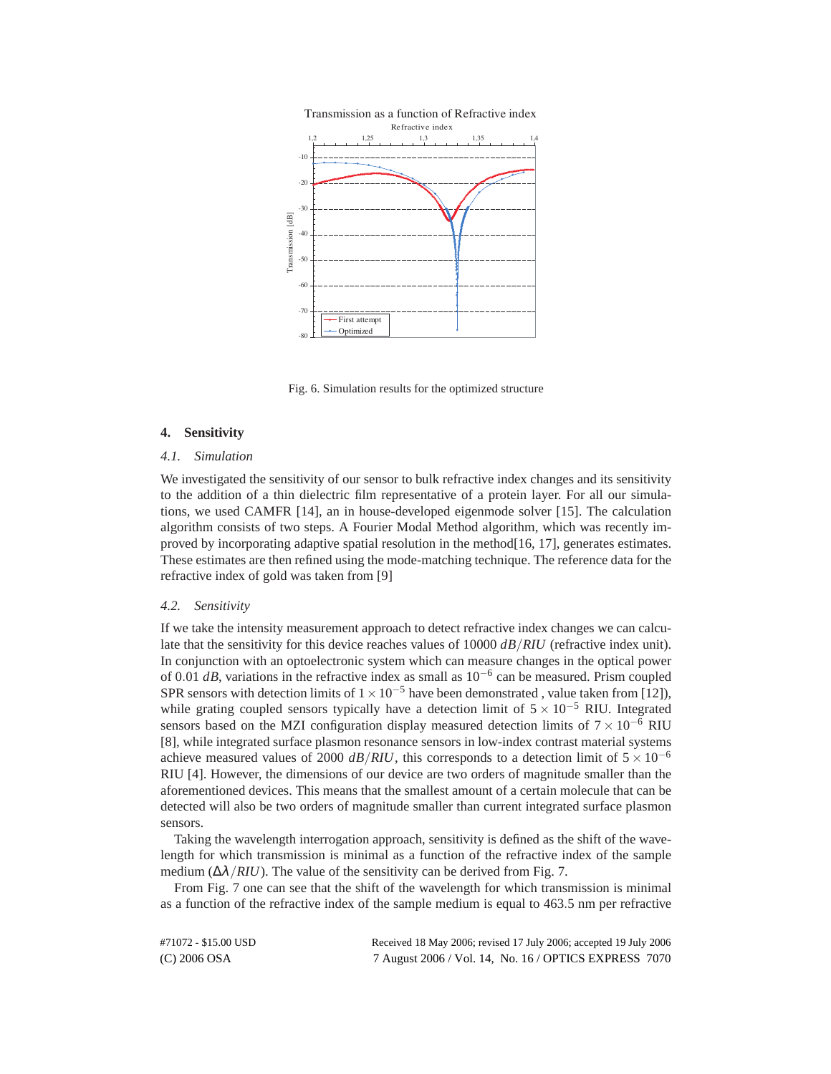

Fig. 6. Simulation results for the optimized structure

### **4. Sensitivity**

#### *4.1. Simulation*

We investigated the sensitivity of our sensor to bulk refractive index changes and its sensitivity to the addition of a thin dielectric film representative of a protein layer. For all our simulations, we used CAMFR [14], an in house-developed eigenmode solver [15]. The calculation algorithm consists of two steps. A Fourier Modal Method algorithm, which was recently improved by incorporating adaptive spatial resolution in the method[16, 17], generates estimates. These estimates are then refined using the mode-matching technique. The reference data for the refractive index of gold was taken from [9]

#### *4.2. Sensitivity*

If we take the intensity measurement approach to detect refractive index changes we can calculate that the sensitivity for this device reaches values of 10000 *dB*/*RIU* (refractive index unit). In conjunction with an optoelectronic system which can measure changes in the optical power of 0.01 *dB*, variations in the refractive index as small as 10<sup>-6</sup> can be measured. Prism coupled SPR sensors with detection limits of  $1 \times 10^{-5}$  have been demonstrated, value taken from [12]), while grating coupled sensors typically have a detection limit of  $5 \times 10^{-5}$  RIU. Integrated sensors based on the MZI configuration display measured detection limits of  $7 \times 10^{-6}$  RIU [8], while integrated surface plasmon resonance sensors in low-index contrast material systems achieve measured values of 2000  $dB/RIU$ , this corresponds to a detection limit of  $5 \times 10^{-6}$ RIU [4]. However, the dimensions of our device are two orders of magnitude smaller than the aforementioned devices. This means that the smallest amount of a certain molecule that can be detected will also be two orders of magnitude smaller than current integrated surface plasmon sensors.

Taking the wavelength interrogation approach, sensitivity is defined as the shift of the wavelength for which transmission is minimal as a function of the refractive index of the sample medium  $(\Delta \lambda / RIU)$ . The value of the sensitivity can be derived from Fig. 7.

From Fig. 7 one can see that the shift of the wavelength for which transmission is minimal as a function of the refractive index of the sample medium is equal to 463.5 nm per refractive

| #71072 - \$15.00 USD | Received 18 May 2006; revised 17 July 2006; accepted 19 July 2006 |
|----------------------|-------------------------------------------------------------------|
| $(C) 2006$ OSA       | 7 August 2006 / Vol. 14, No. 16 / OPTICS EXPRESS 7070             |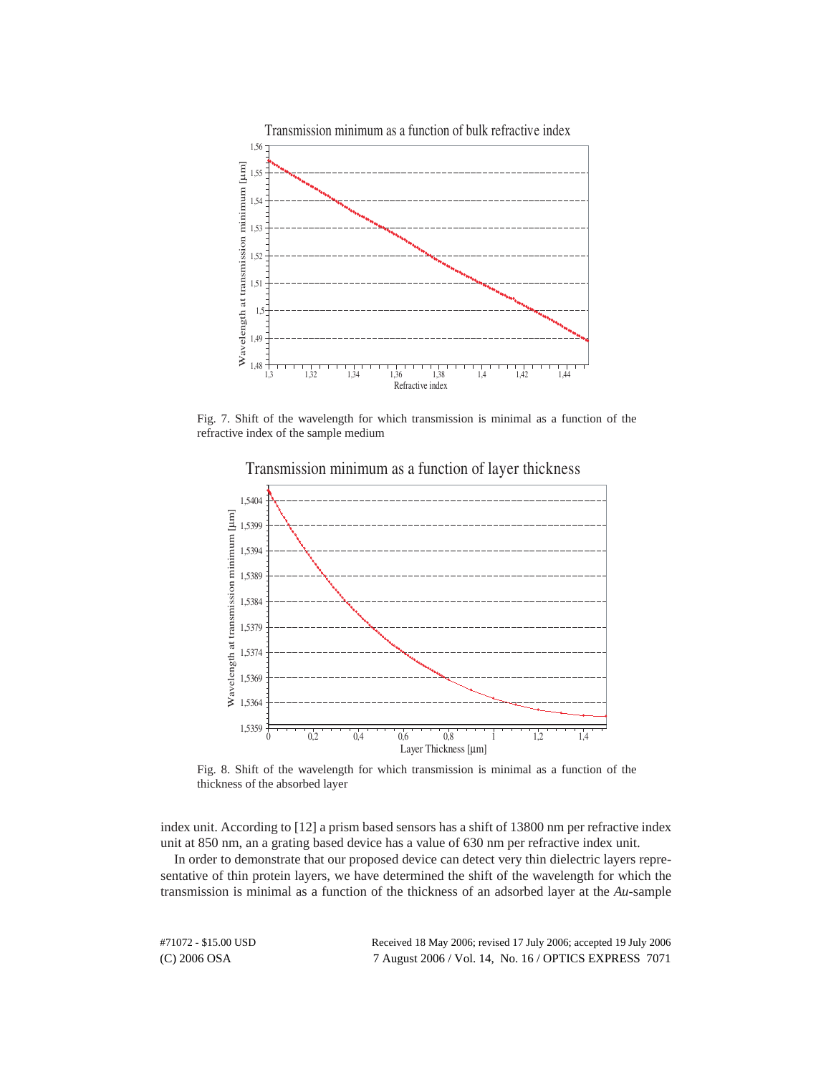

Fig. 7. Shift of the wavelength for which transmission is minimal as a function of the refractive index of the sample medium



Transmission minimum as a function of layer thickness

Fig. 8. Shift of the wavelength for which transmission is minimal as a function of the thickness of the absorbed layer

index unit. According to [12] a prism based sensors has a shift of 13800 nm per refractive index unit at 850 nm, an a grating based device has a value of 630 nm per refractive index unit.

In order to demonstrate that our proposed device can detect very thin dielectric layers representative of thin protein layers, we have determined the shift of the wavelength for which the transmission is minimal as a function of the thickness of an adsorbed layer at the *Au*-sample